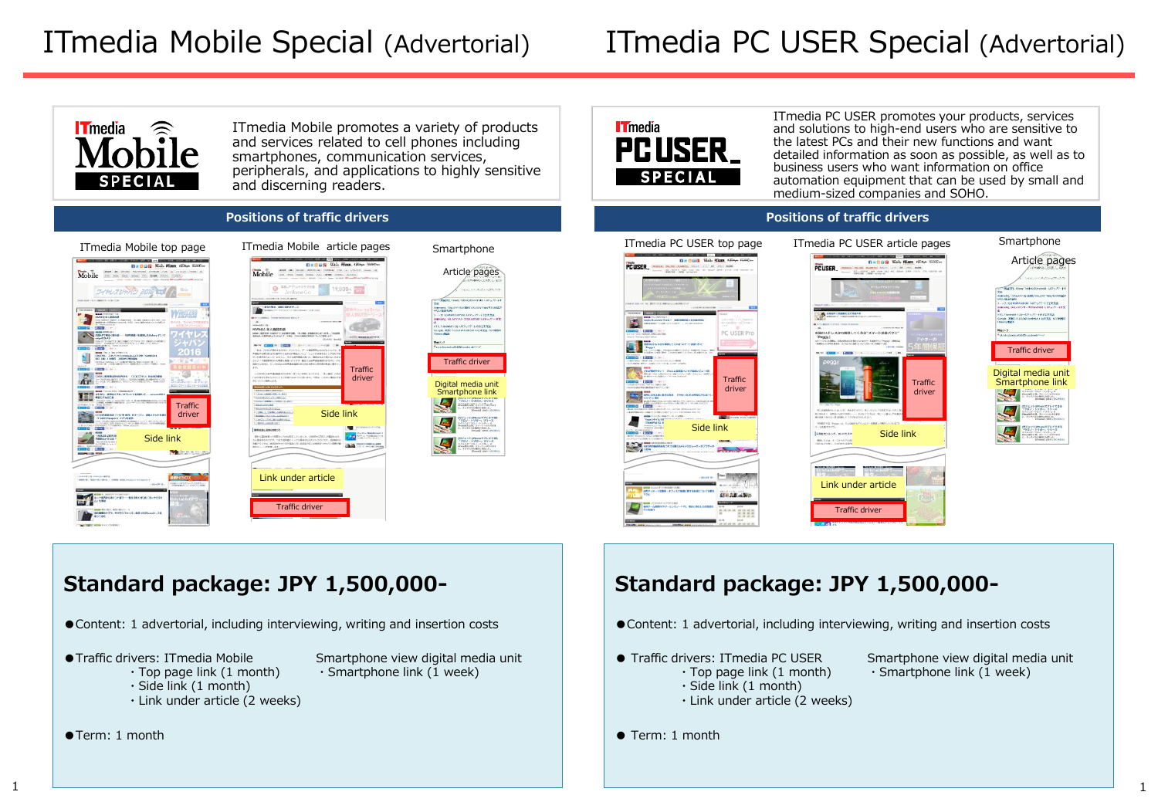# ITmedia PC USER Special (Advertorial)



ITmedia Mobile promotes a variety of products and services related to cell phones including smartphones, communication services, peripherals, and applications to highly sensitive and discerning readers.

### **IT**media PC USER **SPECIAL**

ITmedia PC USER promotes your products, services and solutions to high-end users who are sensitive to the latest PCs and their new functions and want detailed information as soon as possible, as well as to business users who want information on office automation equipment that can be used by small and medium-sized companies and SOHO.

### **Positions of traffic drivers Positions of traffic drivers**









## **Standard package: JPY 1,500,000-**

●Content: 1 advertorial, including interviewing, writing and insertion costs

- ●Traffic drivers: ITmedia Mobile Smartphone view digital media unit
	-
	- $\cdot$  Top page link (1 month)  $\cdot$  Smartphone link (1 week)
	- ・Side link (1 month)
	- ・Link under article (2 weeks)
- ●Term: 1 month

### **Standard package: JPY 1,500,000-**

- ●Content: 1 advertorial, including interviewing, writing and insertion costs
- Traffic drivers: ITmedia PC USER Smartphone view digital media unit ・Side link (1 month)
	- ・Link under article (2 weeks)
- $\cdot$  Top page link (1 month)  $\cdot$  Smartphone link (1 week)
- Term: 1 month